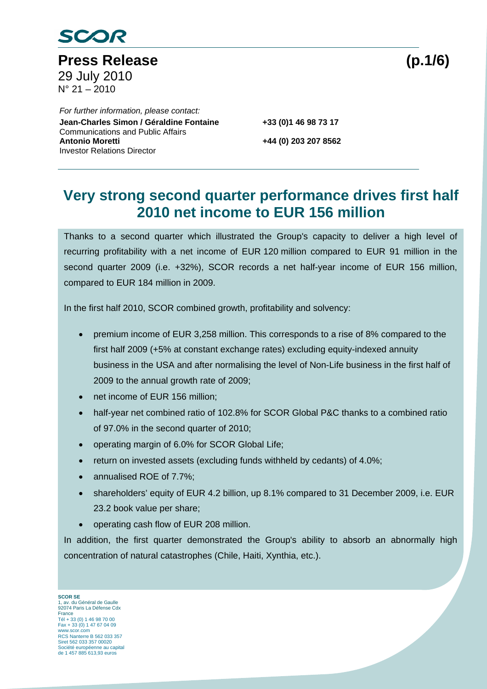

Press Release (p.1/6) 29 July 2010  $N^{\circ}$  21 – 2010

 *For further information, please contact:*  Co **Jean-Charles Simon / Géraldine Fontaine +33 (0)1 46 98 73 17** Communications and Public Affairs **Antonio Moretti +44 (0) 203 207 8562**  Investor Relations Director

# **Very strong second quarter performance drives first half 2010 net income to EUR 156 million**

Thanks to a second quarter which illustrated the Group's capacity to deliver a high level of recurring profitability with a net income of EUR 120 million compared to EUR 91 million in the second quarter 2009 (i.e. +32%), SCOR records a net half-year income of EUR 156 million, compared to EUR 184 million in 2009.

In the first half 2010, SCOR combined growth, profitability and solvency:

- premium income of EUR 3,258 million. This corresponds to a rise of 8% compared to the first half 2009 (+5% at constant exchange rates) excluding equity-indexed annuity business in the USA and after normalising the level of Non-Life business in the first half of 2009 to the annual growth rate of 2009;
- net income of EUR 156 million;
- half-year net combined ratio of 102.8% for SCOR Global P&C thanks to a combined ratio of 97.0% in the second quarter of 2010;
- operating margin of 6.0% for SCOR Global Life;
- return on invested assets (excluding funds withheld by cedants) of 4.0%;
- annualised ROE of 7.7%;
- shareholders' equity of EUR 4.2 billion, up 8.1% compared to 31 December 2009, i.e. EUR 23.2 book value per share;
- operating cash flow of EUR 208 million.

In addition, the first quarter demonstrated the Group's ability to absorb an abnormally high concentration of natural catastrophes (Chile, Haiti, Xynthia, etc.).

**SCOR SE**  1, av. du Général de Gaulle 92074 Paris La Défense Cdx France Tél + 33 (0) 1 46 98 70 00 Fax + 33 (0) 1 47 67 04 09 www.scor.com RCS Nanterre B 562 033 357 Siret 562 033 357 00020 Société européenne au capital de 1 457 885 613,93 euros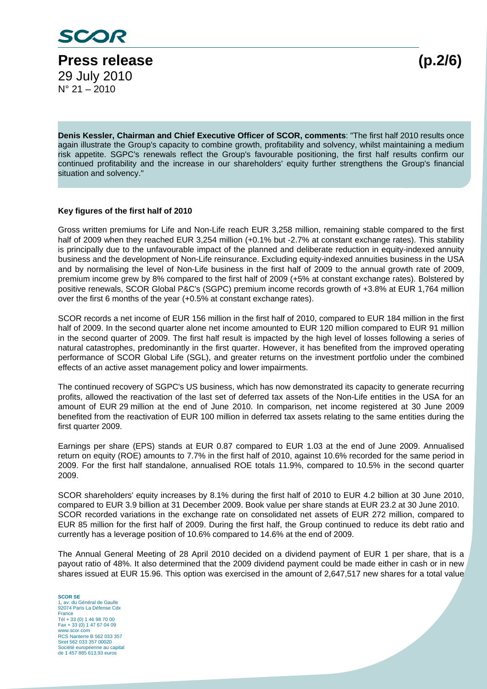

**Denis Kessler, Chairman and Chief Executive Officer of SCOR, comments**: "The first half 2010 results once again illustrate the Group's capacity to combine growth, profitability and solvency, whilst maintaining a medium risk appetite. SGPC's renewals reflect the Group's favourable positioning, the first half results confirm our continued profitability and the increase in our shareholders' equity further strengthens the Group's financial situation and solvency.'

#### **Key figures of the first half of 2010**

Gross written premiums for Life and Non-Life reach EUR 3,258 million, remaining stable compared to the first half of 2009 when they reached EUR 3,254 million (+0.1% but -2.7% at constant exchange rates). This stability is principally due to the unfavourable impact of the planned and deliberate reduction in equity-indexed annuity business and the development of Non-Life reinsurance. Excluding equity-indexed annuities business in the USA and by normalising the level of Non-Life business in the first half of 2009 to the annual growth rate of 2009, premium income grew by 8% compared to the first half of 2009 (+5% at constant exchange rates). Bolstered by positive renewals, SCOR Global P&C's (SGPC) premium income records growth of +3.8% at EUR 1,764 million over the first 6 months of the year (+0.5% at constant exchange rates).

SCOR records a net income of EUR 156 million in the first half of 2010, compared to EUR 184 million in the first half of 2009. In the second quarter alone net income amounted to EUR 120 million compared to EUR 91 million in the second quarter of 2009. The first half result is impacted by the high level of losses following a series of natural catastrophes, predominantly in the first quarter. However, it has benefited from the improved operating performance of SCOR Global Life (SGL), and greater returns on the investment portfolio under the combined effects of an active asset management policy and lower impairments.

The continued recovery of SGPC's US business, which has now demonstrated its capacity to generate recurring profits, allowed the reactivation of the last set of deferred tax assets of the Non-Life entities in the USA for an amount of EUR 29 million at the end of June 2010. In comparison, net income registered at 30 June 2009 benefited from the reactivation of EUR 100 million in deferred tax assets relating to the same entities during the first quarter 2009.

Earnings per share (EPS) stands at EUR 0.87 compared to EUR 1.03 at the end of June 2009. Annualised return on equity (ROE) amounts to 7.7% in the first half of 2010, against 10.6% recorded for the same period in 2009. For the first half standalone, annualised ROE totals 11.9%, compared to 10.5% in the second quarter 2009.

SCOR shareholders' equity increases by 8.1% during the first half of 2010 to EUR 4.2 billion at 30 June 2010, compared to EUR 3.9 billion at 31 December 2009. Book value per share stands at EUR 23.2 at 30 June 2010. SCOR recorded variations in the exchange rate on consolidated net assets of EUR 272 million, compared to EUR 85 million for the first half of 2009. During the first half, the Group continued to reduce its debt ratio and currently has a leverage position of 10.6% compared to 14.6% at the end of 2009.

The Annual General Meeting of 28 April 2010 decided on a dividend payment of EUR 1 per share, that is a payout ratio of 48%. It also determined that the 2009 dividend payment could be made either in cash or in new shares issued at EUR 15.96. This option was exercised in the amount of 2,647,517 new shares for a total value

**SCOR SE**  1, av. du Général de Gaulle 92074 Paris La Défense Cdx France Tél + 33 (0) 1 46 98 70 00 Fax + 33 (0) 1 47 67 04 09 www.scor.com RCS Nanterre B 562 033 357 Siret 562 033 357 00020 Société européenne au capital de 1 457 885 613,93 euros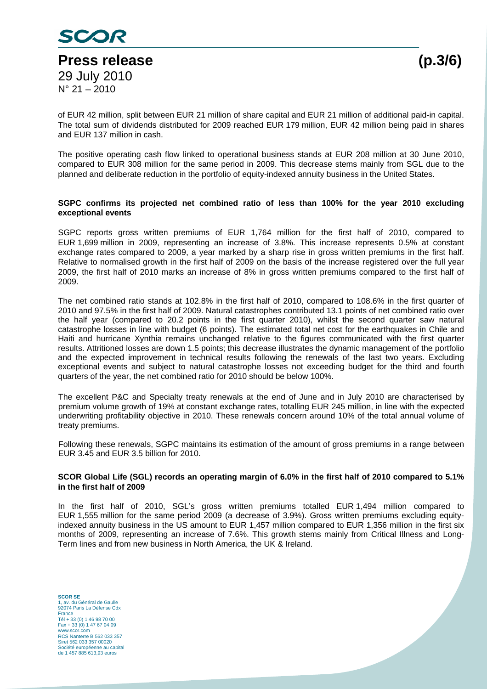

of EUR 42 million, split between EUR 21 million of share capital and EUR 21 million of additional paid-in capital. The total sum of dividends distributed for 2009 reached EUR 179 million, EUR 42 million being paid in shares and EUR 137 million in cash.

The positive operating cash flow linked to operational business stands at EUR 208 million at 30 June 2010, compared to EUR 308 million for the same period in 2009. This decrease stems mainly from SGL due to the planned and deliberate reduction in the portfolio of equity-indexed annuity business in the United States.

### **SGPC confirms its projected net combined ratio of less than 100% for the year 2010 excluding exceptional events**

SGPC reports gross written premiums of EUR 1,764 million for the first half of 2010, compared to EUR 1,699 million in 2009, representing an increase of 3.8%. This increase represents 0.5% at constant exchange rates compared to 2009, a year marked by a sharp rise in gross written premiums in the first half. Relative to normalised growth in the first half of 2009 on the basis of the increase registered over the full year 2009, the first half of 2010 marks an increase of 8% in gross written premiums compared to the first half of 2009.

The net combined ratio stands at 102.8% in the first half of 2010, compared to 108.6% in the first quarter of 2010 and 97.5% in the first half of 2009. Natural catastrophes contributed 13.1 points of net combined ratio over the half year (compared to 20.2 points in the first quarter 2010), whilst the second quarter saw natural catastrophe losses in line with budget (6 points). The estimated total net cost for the earthquakes in Chile and Haiti and hurricane Xynthia remains unchanged relative to the figures communicated with the first quarter results. Attritioned losses are down 1.5 points; this decrease illustrates the dynamic management of the portfolio and the expected improvement in technical results following the renewals of the last two years. Excluding exceptional events and subject to natural catastrophe losses not exceeding budget for the third and fourth quarters of the year, the net combined ratio for 2010 should be below 100%.

The excellent P&C and Specialty treaty renewals at the end of June and in July 2010 are characterised by premium volume growth of 19% at constant exchange rates, totalling EUR 245 million, in line with the expected underwriting profitability objective in 2010. These renewals concern around 10% of the total annual volume of treaty premiums.

Following these renewals, SGPC maintains its estimation of the amount of gross premiums in a range between EUR 3.45 and EUR 3.5 billion for 2010.

#### **SCOR Global Life (SGL) records an operating margin of 6.0% in the first half of 2010 compared to 5.1% in the first half of 2009**

In the first half of 2010, SGL's gross written premiums totalled EUR 1,494 million compared to EUR 1,555 million for the same period 2009 (a decrease of 3.9%). Gross written premiums excluding equityindexed annuity business in the US amount to EUR 1,457 million compared to EUR 1,356 million in the first six months of 2009, representing an increase of 7.6%. This growth stems mainly from Critical Illness and Long-Term lines and from new business in North America, the UK & Ireland.

**SCOR SE**  1, av. du Général de Gaulle 92074 Paris La Défense Cdx France Tél + 33 (0) 1 46 98 70 00 Fax + 33 (0) 1 47 67 04 09 www.scor.com RCS Nanterre B 562 033 357 Siret 562 033 357 00020 Société européenne au capital de 1 457 885 613,93 euros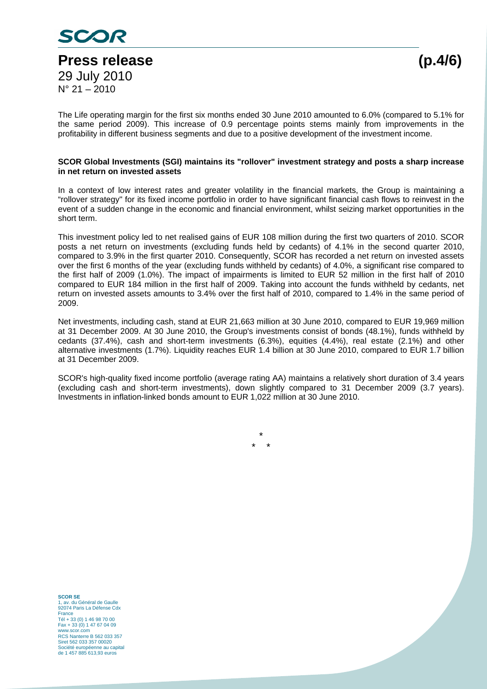

The Life operating margin for the first six months ended 30 June 2010 amounted to 6.0% (compared to 5.1% for the same period 2009). This increase of 0.9 percentage points stems mainly from improvements in the profitability in different business segments and due to a positive development of the investment income.

#### **SCOR Global Investments (SGI) maintains its "rollover" investment strategy and posts a sharp increase in net return on invested assets**

In a context of low interest rates and greater volatility in the financial markets, the Group is maintaining a "rollover strategy" for its fixed income portfolio in order to have significant financial cash flows to reinvest in the event of a sudden change in the economic and financial environment, whilst seizing market opportunities in the short term.

This investment policy led to net realised gains of EUR 108 million during the first two quarters of 2010. SCOR posts a net return on investments (excluding funds held by cedants) of 4.1% in the second quarter 2010, compared to 3.9% in the first quarter 2010. Consequently, SCOR has recorded a net return on invested assets over the first 6 months of the year (excluding funds withheld by cedants) of 4.0%, a significant rise compared to the first half of 2009 (1.0%). The impact of impairments is limited to EUR 52 million in the first half of 2010 compared to EUR 184 million in the first half of 2009. Taking into account the funds withheld by cedants, net return on invested assets amounts to 3.4% over the first half of 2010, compared to 1.4% in the same period of 2009.

Net investments, including cash, stand at EUR 21,663 million at 30 June 2010, compared to EUR 19,969 million at 31 December 2009. At 30 June 2010, the Group's investments consist of bonds (48.1%), funds withheld by cedants (37.4%), cash and short-term investments (6.3%), equities (4.4%), real estate (2.1%) and other alternative investments (1.7%). Liquidity reaches EUR 1.4 billion at 30 June 2010, compared to EUR 1.7 billion at 31 December 2009.

SCOR's high-quality fixed income portfolio (average rating AA) maintains a relatively short duration of 3.4 years (excluding cash and short-term investments), down slightly compared to 31 December 2009 (3.7 years). Investments in inflation-linked bonds amount to EUR 1,022 million at 30 June 2010.

> \* \* \*

**SCOR SE**  1, av. du Général de Gaulle 92074 Paris La Défense Cdx France Tél + 33 (0) 1 46 98 70 00 Fax + 33 (0) 1 47 67 04 09 www.scor.com RCS Nanterre B 562 033 357 Siret 562 033 357 00020 Société européenne au capital de 1 457 885 613,93 euros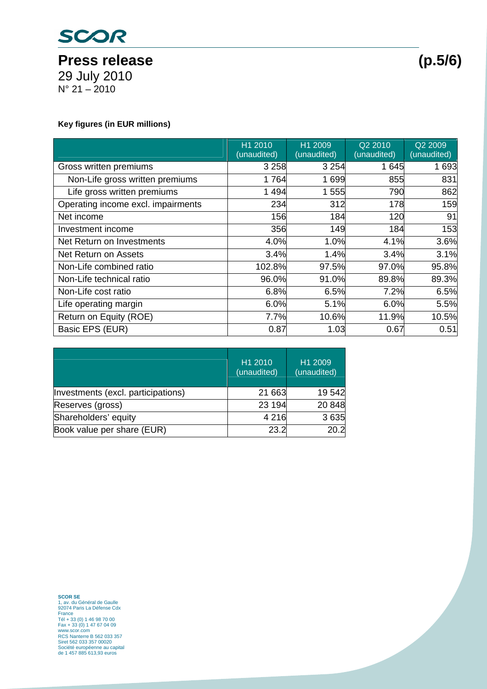

29 July 2010 N° 21 – 2010

### **Key figures (in EUR millions)**

|                                    | H1 2010<br>(unaudited) | H1 2009<br>(unaudited) | Q2 2010<br>(unaudited) | Q2 2009<br>(unaudited) |
|------------------------------------|------------------------|------------------------|------------------------|------------------------|
| Gross written premiums             | 3 2 5 8                | 3 2 5 4                | 1 645                  | 1 6 9 3                |
| Non-Life gross written premiums    | 1764                   | 1 699                  | 855                    | 831                    |
| Life gross written premiums        | 1 4 9 4                | 1 555                  | 790                    | 862                    |
| Operating income excl. impairments | 234                    | 312                    | 178                    | 159                    |
| Net income                         | 156                    | 184                    | 120                    | 91                     |
| Investment income                  | 356                    | 149                    | 184                    | 153                    |
| Net Return on Investments          | 4.0%                   | 1.0%                   | 4.1%                   | 3.6%                   |
| Net Return on Assets               | 3.4%                   | 1.4%                   | 3.4%                   | 3.1%                   |
| Non-Life combined ratio            | 102.8%                 | 97.5%                  | 97.0%                  | 95.8%                  |
| Non-Life technical ratio           | 96.0%                  | 91.0%                  | 89.8%                  | 89.3%                  |
| Non-Life cost ratio                | 6.8%                   | 6.5%                   | 7.2%                   | 6.5%                   |
| Life operating margin              | 6.0%                   | 5.1%                   | 6.0%                   | 5.5%                   |
| Return on Equity (ROE)             | 7.7%                   | 10.6%                  | 11.9%                  | 10.5%                  |
| Basic EPS (EUR)                    | 0.87                   | 1.03                   | 0.67                   | 0.51                   |

|                                    | H1 2010<br>(unaudited) | H1 2009<br>(unaudited) |
|------------------------------------|------------------------|------------------------|
| Investments (excl. participations) | 21 663                 | 19542                  |
| Reserves (gross)                   | 23 194                 | 20 848                 |
| Shareholders' equity               | 4 2 1 6                | 3 6 3 5                |
| Book value per share (EUR)         | 23.2                   | 20.2                   |

**SCOR SE**<br>1, av. du Général de Gaulle<br>92074 Paris La Défense Cdx<br>France<br>Tél + 33 (0) 1 46 98 70 00<br>6 Tax + 33 (0) 1 47 67 04 09<br>WWW.scor.com<br>RCS Nanterre B 562 033 357<br>Siret 562 033 357 00020<br>Scoiété européene au capital<br>S